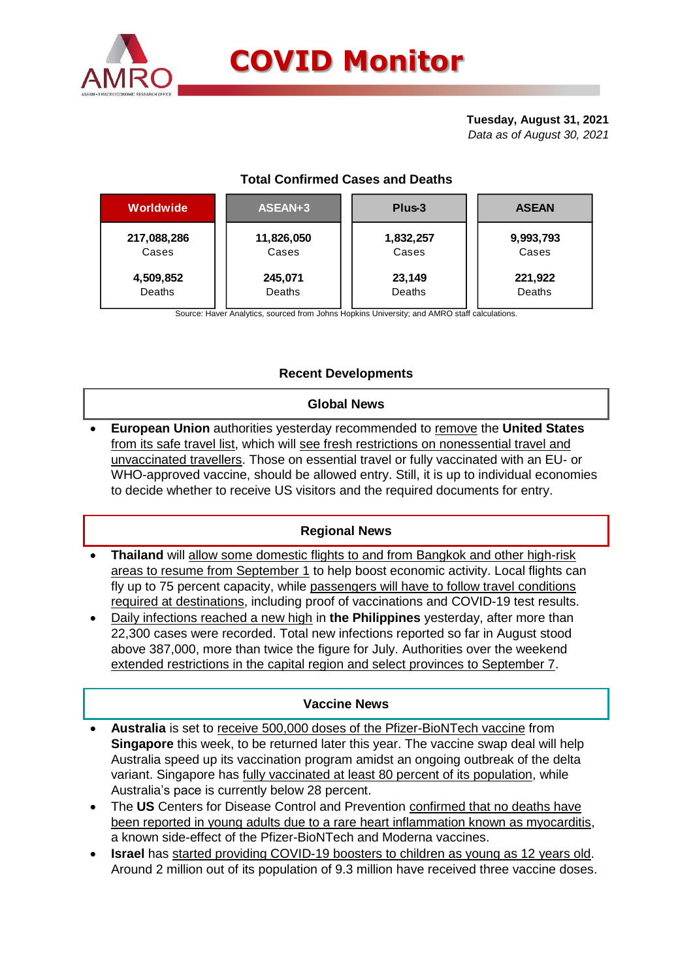

#### **Tuesday, August 31, 2021** *Data as of August 30, 2021*

# **Total Confirmed Cases and Deaths**

| <b>Worldwide</b> | ASEAN+3    | Plus-3    | <b>ASEAN</b> |  |  |
|------------------|------------|-----------|--------------|--|--|
| 217,088,286      | 11,826,050 | 1,832,257 | 9,993,793    |  |  |
| Cases            | Cases      | Cases     | Cases        |  |  |
| 4,509,852        | 245,071    | 23,149    | 221,922      |  |  |
| Deaths           | Deaths     | Deaths    | Deaths       |  |  |

Source: Haver Analytics, sourced from Johns Hopkins University; and AMRO staff calculations.

## **Recent Developments**

#### **Global News**

 **European Union** authorities yesterday recommended to remove the **United States** from its safe travel list, which will see fresh restrictions on nonessential travel and unvaccinated travellers. Those on essential travel or fully vaccinated with an EU- or WHO-approved vaccine, should be allowed entry. Still, it is up to individual economies to decide whether to receive US visitors and the required documents for entry.

### **Regional News**

- **Thailand** will allow some domestic flights to and from Bangkok and other high-risk areas to resume from September 1 to help boost economic activity. Local flights can fly up to 75 percent capacity, while passengers will have to follow travel conditions required at destinations, including proof of vaccinations and COVID-19 test results.
- Daily infections reached a new high in **the Philippines** yesterday, after more than 22,300 cases were recorded. Total new infections reported so far in August stood above 387,000, more than twice the figure for July. Authorities over the weekend extended restrictions in the capital region and select provinces to September 7.

### **Vaccine News**

- **Australia** is set to receive 500,000 doses of the Pfizer-BioNTech vaccine from **Singapore** this week, to be returned later this year. The vaccine swap deal will help Australia speed up its vaccination program amidst an ongoing outbreak of the delta variant. Singapore has fully vaccinated at least 80 percent of its population, while Australia's pace is currently below 28 percent.
- The **US** Centers for Disease Control and Prevention confirmed that no deaths have been reported in young adults due to a rare heart inflammation known as myocarditis, a known side-effect of the Pfizer-BioNTech and Moderna vaccines.
- **Israel** has started providing COVID-19 boosters to children as young as 12 years old. Around 2 million out of its population of 9.3 million have received three vaccine doses.